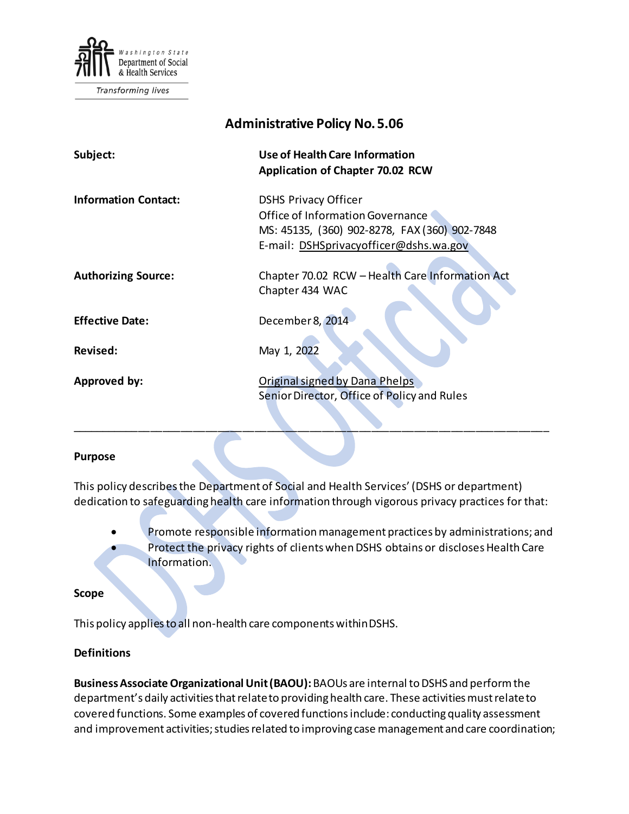

Transforming lives

# **Administrative Policy No.5.06 Subject: Use of Health Care Information Application of Chapter 70.02 RCW Information Contact:** DSHS Privacy Officer Office of Information Governance MS: 45135, (360) 902-8278, FAX (360) 902-7848 E-mail: [DSHSprivacyofficer@dshs.wa.gov](mailto:DSHSprivacyofficer@dshs.wa.gov) **Authorizing Source:** Chapter 70.02 RCW – Health Care Information Act Chapter 434 WAC Effective Date: December 8, 2014 **Revised:** May 1, 2022 **Approved by:** Criginal signed by Dana Phelps Senior Director, Office of Policy and Rules

#### **Purpose**

This policy describes the Department of Social and Health Services' (DSHS or department) dedication to safeguarding health care information through vigorous privacy practices for that:

\_\_\_\_\_\_\_\_\_\_\_\_\_\_\_\_\_\_\_\_\_\_\_\_\_\_\_\_\_\_\_\_\_\_\_\_\_\_\_\_\_\_\_\_\_\_\_\_\_\_\_\_\_\_\_\_\_\_\_\_\_\_\_\_\_\_\_\_\_\_\_\_\_\_\_\_\_\_

- Promote responsible information management practices by administrations; and
- Protect the privacy rights of clients when DSHS obtains or discloses Health Care Information.

#### **Scope**

This policy applies to all non-health care components within DSHS.

#### **Definitions**

**Business Associate Organizational Unit (BAOU):** BAOUs are internal to DSHS and perform the department's daily activities that relate to providing health care. These activities must relate to covered functions. Some examples of covered functions include: conducting quality assessment and improvement activities; studies related to improving case management and care coordination;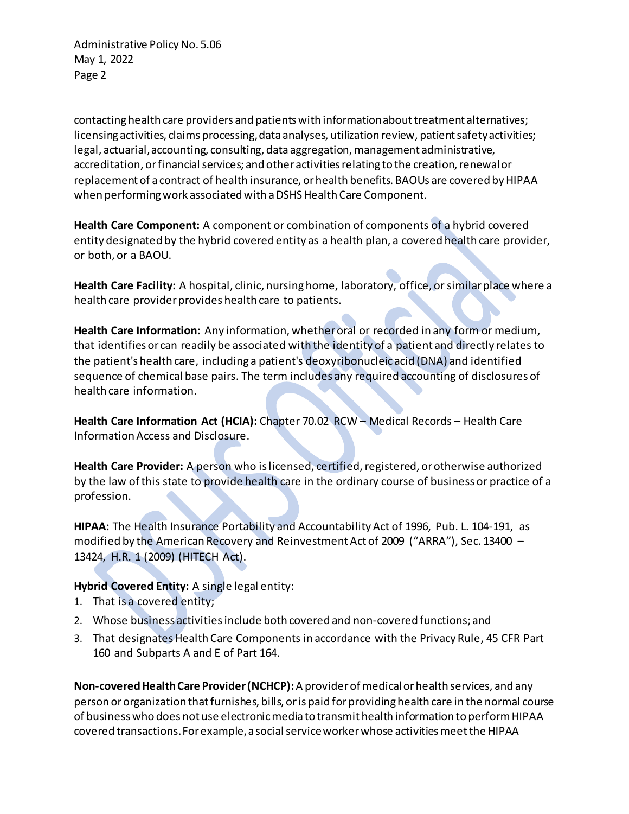Administrative Policy No. 5.06 May 1, 2022 Page 2

contacting health care providers and patients with information about treatment alternatives; licensing activities, claims processing, data analyses, utilization review, patient safety activities; legal, actuarial, accounting, consulting, data aggregation, management administrative, accreditation, or financial services; and other activities relating to the creation, renewal or replacement of a contract of health insurance, or health benefits. BAOUs are covered by HIPAA when performing work associated with a DSHS Health Care Component.

**Health Care Component:** A component or combination of components of a hybrid covered entity designated by the hybrid covered entity as a health plan, a covered health care provider, or both, or a BAOU.

**Health Care Facility:** A hospital, clinic, nursing home, laboratory, office, or similar place where a health care provider provides health care to patients.

**Health Care Information:** Any information, whether oral or recorded in any form or medium, that identifies or can readily be associated with the identity of a patient and directly relates to the patient's health care, including a patient's deoxyribonucleic acid (DNA) and identified sequence of chemical base pairs. The term includes any required accounting of disclosures of health care information.

**Health Care Information Act (HCIA):** Chapter 70.02 RCW – Medical Records – Health Care Information Access and Disclosure.

**Health Care Provider:** A person who is licensed, certified, registered, or otherwise authorized by the law of this state to provide health care in the ordinary course of business or practice of a profession.

**HIPAA:** The Health Insurance Portability and Accountability Act of 1996, Pub. L. 104-191, as modified by the American Recovery and Reinvestment Act of 2009 ("ARRA"), Sec. 13400 – 13424, H.R. 1 (2009) (HITECH Act).

## **Hybrid Covered Entity:** A single legal entity:

- 1. That is a covered entity;
- 2. Whose business activities include both covered and non-covered functions; and
- 3. That designates Health Care Components in accordance with the Privacy Rule, 45 CFR Part 160 and Subparts A and E of Part 164.

**Non-covered Health Care Provider (NCHCP):**A provider of medical or health services, and any person or organization that furnishes, bills, or is paid for providing health care in the normal course of business who does not use electronic media to transmit health information to perform HIPAA covered transactions. For example, a social service worker whose activities meet the HIPAA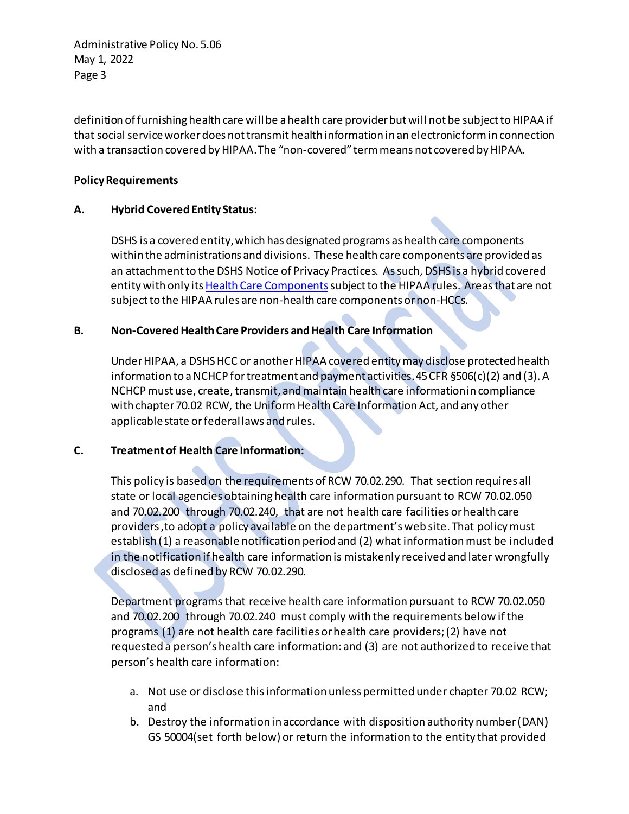Administrative Policy No. 5.06 May 1, 2022 Page 3

definition of furnishing health care will be a health care provider but will not be subject to HIPAA if that social service worker does not transmit health information in an electronic form in connection with a transaction covered by HIPAA. The "non-covered" term means not covered by HIPAA.

### **Policy Requirements**

## **A. Hybrid Covered Entity Status:**

DSHS is a covered entity,which has designated programs as health care components within the administrations and divisions. These health care components are provided as an attachment to the DSHS Notice of Privacy Practices. As such, DSHS is a hybrid covered entity with only its Health Care Components subject to the HIPAA rules. Areas that are not subject to the HIPAA rules are non-health care components or non-HCCs.

#### **B. Non-Covered Health Care Providers and Health Care Information**

Under HIPAA, a DSHS HCC or another HIPAA covered entity may disclose protected health information to a NCHCP for treatment and payment activities. 45 CFR §506(c)(2) and (3). A NCHCP must use, create, transmit, and maintain health care information in compliance with chapter 70.02 RCW, the Uniform Health Care Information Act, and any other applicable state or federal laws and rules.

#### **C. Treatment of Health Care Information:**

This policy is based on the requirements of RCW 70.02.290. That section requires all state or local agencies obtaining health care information pursuant to RCW 70.02.050 and 70.02.200 through 70.02.240, that are not health care facilities or health care providers ,to adopt a policy available on the department's web site. That policymust establish (1) a reasonable notification period and (2) what information must be included in the notification if health care information is mistakenly received and later wrongfully disclosed as defined by RCW 70.02.290.

Department programs that receive health care information pursuant to RCW 70.02.050 and 70.02.200 through 70.02.240 must comply with the requirements below if the programs (1) are not health care facilities or health care providers; (2) have not requested a person's health care information: and (3) are not authorized to receive that person's health care information:

- a. Not use or disclose this information unless permitted under chapter 70.02 RCW; and
- b. Destroy the information in accordance with disposition authority number (DAN) GS 50004(set forth below) or return the information to the entity that provided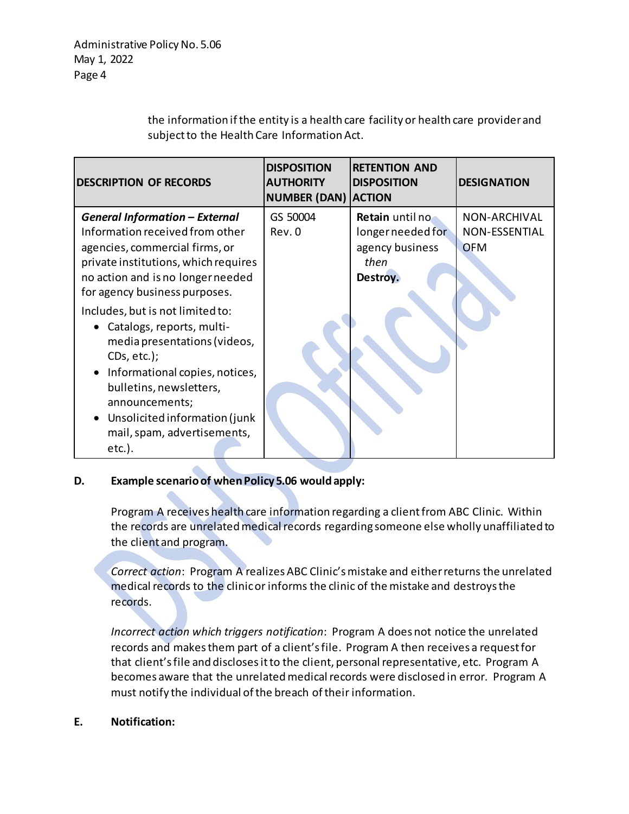the information if the entity is a health care facility or health care provider and subject to the Health Care Information Act.

| <b>DESCRIPTION OF RECORDS</b>                                                                                                                                                                                                                                                      | <b>DISPOSITION</b><br><b>AUTHORITY</b><br><b>NUMBER (DAN) ACTION</b> | <b>RETENTION AND</b><br><b>DISPOSITION</b>                                  | <b>DESIGNATION</b>                                        |
|------------------------------------------------------------------------------------------------------------------------------------------------------------------------------------------------------------------------------------------------------------------------------------|----------------------------------------------------------------------|-----------------------------------------------------------------------------|-----------------------------------------------------------|
| <b>General Information - External</b><br>Information received from other<br>agencies, commercial firms, or<br>private institutions, which requires<br>no action and is no longer needed<br>for agency business purposes.                                                           | GS 50004<br>Rev. 0                                                   | Retain until no<br>longer needed for<br>agency business<br>then<br>Destroy. | <b>NON-ARCHIVAL</b><br><b>NON-ESSENTIAL</b><br><b>OFM</b> |
| Includes, but is not limited to:<br>• Catalogs, reports, multi-<br>media presentations (videos,<br>$CDS, etc.$ );<br>• Informational copies, notices,<br>bulletins, newsletters,<br>announcements;<br>• Unsolicited information (junk)<br>mail, spam, advertisements,<br>$etc.$ ). |                                                                      |                                                                             |                                                           |

# **D. Example scenario of when Policy 5.06 would apply:**

Program A receives health care information regarding a client from ABC Clinic. Within the records are unrelated medical records regarding someone else wholly unaffiliated to the client and program.

*Correct action*: Program A realizes ABC Clinic's mistake and either returns the unrelated medical records to the clinic or informs the clinic of the mistake and destroys the records.

*Incorrect action which triggers notification*: Program A does not notice the unrelated records and makes them part of a client's file. Program A then receives a request for that client's file and discloses it to the client, personal representative, etc. Program A becomes aware that the unrelated medical records were disclosed in error. Program A must notify the individual of the breach of their information.

## **E. Notification:**